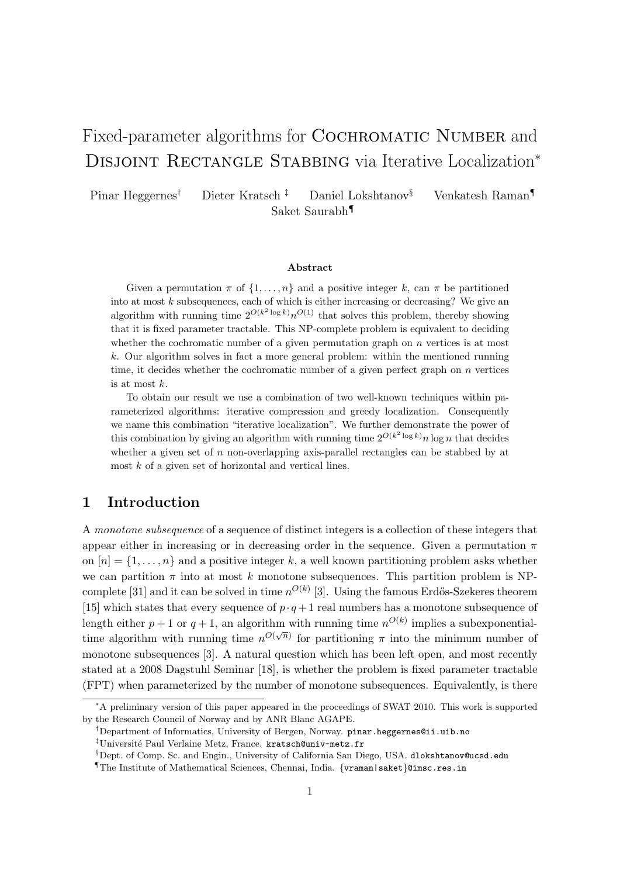# Fixed-parameter algorithms for COCHROMATIC NUMBER and DISJOINT RECTANGLE STABBING via Iterative Localization<sup>\*</sup>

Pinar Heggernes† Dieter Kratsch ‡ Daniel Lokshtanov§ Venkatesh Raman¶ Saket Saurabh¶

#### Abstract

Given a permutation  $\pi$  of  $\{1, \ldots, n\}$  and a positive integer k, can  $\pi$  be partitioned into at most  $k$  subsequences, each of which is either increasing or decreasing? We give an algorithm with running time  $2^{O(k^2 \log k)} n^{O(1)}$  that solves this problem, thereby showing that it is fixed parameter tractable. This NP-complete problem is equivalent to deciding whether the cochromatic number of a given permutation graph on  $n$  vertices is at most k. Our algorithm solves in fact a more general problem: within the mentioned running time, it decides whether the cochromatic number of a given perfect graph on  $n$  vertices is at most k.

To obtain our result we use a combination of two well-known techniques within parameterized algorithms: iterative compression and greedy localization. Consequently we name this combination "iterative localization". We further demonstrate the power of this combination by giving an algorithm with running time  $2^{O(k^2 \log k)} n \log n$  that decides whether a given set of  $n$  non-overlapping axis-parallel rectangles can be stabbed by at most  $k$  of a given set of horizontal and vertical lines.

## 1 Introduction

A monotone subsequence of a sequence of distinct integers is a collection of these integers that appear either in increasing or in decreasing order in the sequence. Given a permutation  $\pi$ on  $[n] = \{1, \ldots, n\}$  and a positive integer k, a well known partitioning problem asks whether we can partition  $\pi$  into at most k monotone subsequences. This partition problem is NPcomplete [31] and it can be solved in time  $n^{O(k)}$  [3]. Using the famous Erdős-Szekeres theorem [15] which states that every sequence of  $p \cdot q + 1$  real numbers has a monotone subsequence of length either  $p+1$  or  $q+1$ , an algorithm with running time  $n^{O(k)}$  implies a subexponentialtime algorithm with running time  $n^{O(\sqrt{n})}$  for partitioning  $\pi$  into the minimum number of monotone subsequences [3]. A natural question which has been left open, and most recently stated at a 2008 Dagstuhl Seminar [18], is whether the problem is fixed parameter tractable (FPT) when parameterized by the number of monotone subsequences. Equivalently, is there

<sup>∗</sup>A preliminary version of this paper appeared in the proceedings of SWAT 2010. This work is supported by the Research Council of Norway and by ANR Blanc AGAPE.

 $^\dagger$ Department of Informatics, University of Bergen, Norway. pinar.heggernes@ii.uib.no

<sup>&</sup>lt;sup>‡</sup>Université Paul Verlaine Metz, France. kratsch@univ-metz.fr

<sup>§</sup>Dept. of Comp. Sc. and Engin., University of California San Diego, USA. dlokshtanov@ucsd.edu

<sup>¶</sup>The Institute of Mathematical Sciences, Chennai, India. {vraman|saket}@imsc.res.in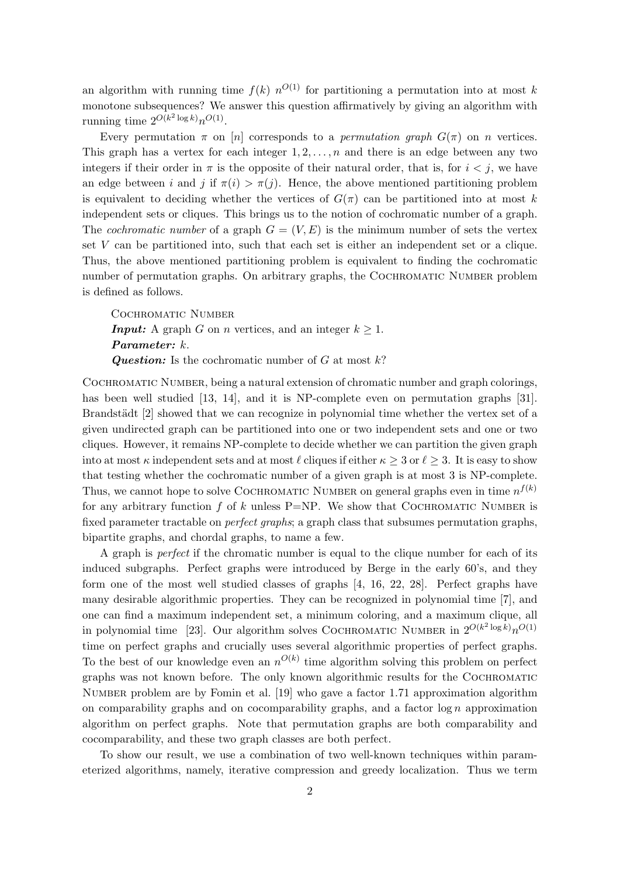an algorithm with running time  $f(k)$   $n^{O(1)}$  for partitioning a permutation into at most k monotone subsequences? We answer this question affirmatively by giving an algorithm with running time  $2^{O(k^2 \log k)} n^{O(1)}$ .

Every permutation  $\pi$  on  $[n]$  corresponds to a *permutation graph*  $G(\pi)$  on *n* vertices. This graph has a vertex for each integer  $1, 2, \ldots, n$  and there is an edge between any two integers if their order in  $\pi$  is the opposite of their natural order, that is, for  $i < j$ , we have an edge between i and j if  $\pi(i) > \pi(j)$ . Hence, the above mentioned partitioning problem is equivalent to deciding whether the vertices of  $G(\pi)$  can be partitioned into at most k independent sets or cliques. This brings us to the notion of cochromatic number of a graph. The *cochromatic number* of a graph  $G = (V, E)$  is the minimum number of sets the vertex set V can be partitioned into, such that each set is either an independent set or a clique. Thus, the above mentioned partitioning problem is equivalent to finding the cochromatic number of permutation graphs. On arbitrary graphs, the COCHROMATIC NUMBER problem is defined as follows.

COCHROMATIC NUMBER **Input:** A graph G on n vertices, and an integer  $k \geq 1$ . Parameter: k. **Question:** Is the cochromatic number of G at most  $k$ ?

Cochromatic Number, being a natural extension of chromatic number and graph colorings, has been well studied [13, 14], and it is NP-complete even on permutation graphs [31]. Brandstädt [2] showed that we can recognize in polynomial time whether the vertex set of a given undirected graph can be partitioned into one or two independent sets and one or two cliques. However, it remains NP-complete to decide whether we can partition the given graph into at most  $\kappa$  independent sets and at most  $\ell$  cliques if either  $\kappa \geq 3$  or  $\ell \geq 3$ . It is easy to show that testing whether the cochromatic number of a given graph is at most 3 is NP-complete. Thus, we cannot hope to solve COCHROMATIC NUMBER on general graphs even in time  $n^{f(k)}$ for any arbitrary function f of k unless  $P=NP$ . We show that COCHROMATIC NUMBER is fixed parameter tractable on *perfect graphs*; a graph class that subsumes permutation graphs, bipartite graphs, and chordal graphs, to name a few.

A graph is perfect if the chromatic number is equal to the clique number for each of its induced subgraphs. Perfect graphs were introduced by Berge in the early 60's, and they form one of the most well studied classes of graphs [4, 16, 22, 28]. Perfect graphs have many desirable algorithmic properties. They can be recognized in polynomial time [7], and one can find a maximum independent set, a minimum coloring, and a maximum clique, all in polynomial time [23]. Our algorithm solves COCHROMATIC NUMBER in  $2^{O(k^2 \log k)} n^{O(1)}$ time on perfect graphs and crucially uses several algorithmic properties of perfect graphs. To the best of our knowledge even an  $n^{O(k)}$  time algorithm solving this problem on perfect graphs was not known before. The only known algorithmic results for the Cochromatic Number problem are by Fomin et al. [19] who gave a factor 1.71 approximation algorithm on comparability graphs and on cocomparability graphs, and a factor  $\log n$  approximation algorithm on perfect graphs. Note that permutation graphs are both comparability and cocomparability, and these two graph classes are both perfect.

To show our result, we use a combination of two well-known techniques within parameterized algorithms, namely, iterative compression and greedy localization. Thus we term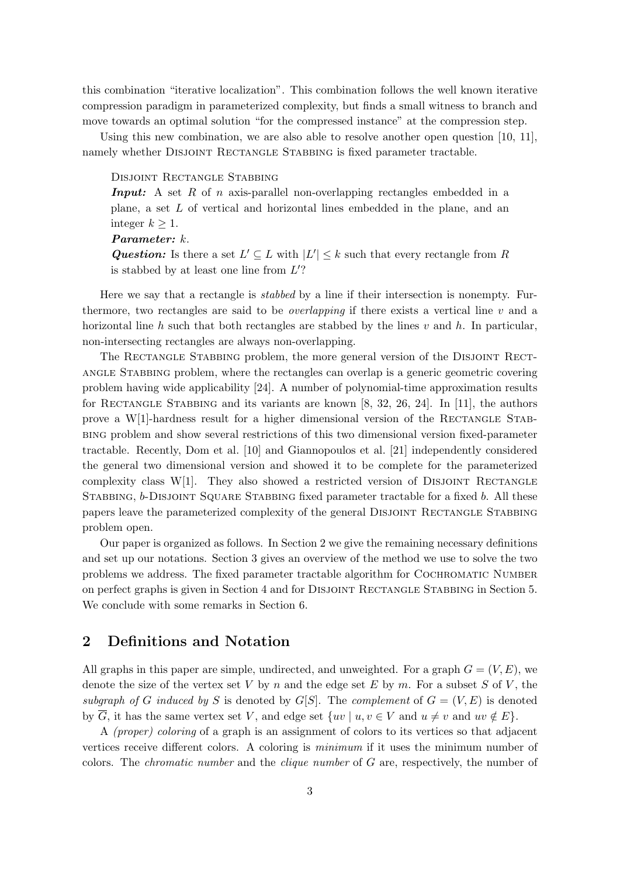this combination "iterative localization". This combination follows the well known iterative compression paradigm in parameterized complexity, but finds a small witness to branch and move towards an optimal solution "for the compressed instance" at the compression step.

Using this new combination, we are also able to resolve another open question [10, 11], namely whether DISJOINT RECTANGLE STABBING is fixed parameter tractable.

Disjoint Rectangle Stabbing

**Input:** A set R of n axis-parallel non-overlapping rectangles embedded in a plane, a set L of vertical and horizontal lines embedded in the plane, and an integer  $k \geq 1$ .

Parameter: k.

**Question:** Is there a set  $L' \subseteq L$  with  $|L'| \leq k$  such that every rectangle from R is stabbed by at least one line from  $L'$ ?

Here we say that a rectangle is stabbed by a line if their intersection is nonempty. Furthermore, two rectangles are said to be *overlapping* if there exists a vertical line  $v$  and a horizontal line h such that both rectangles are stabbed by the lines  $v$  and  $h$ . In particular, non-intersecting rectangles are always non-overlapping.

The RECTANGLE STABBING problem, the more general version of the DISJOINT RECTangle Stabbing problem, where the rectangles can overlap is a generic geometric covering problem having wide applicability [24]. A number of polynomial-time approximation results for RECTANGLE STABBING and its variants are known  $[8, 32, 26, 24]$ . In [11], the authors prove a  $W[1]$ -hardness result for a higher dimensional version of the RECTANGLE STABbing problem and show several restrictions of this two dimensional version fixed-parameter tractable. Recently, Dom et al. [10] and Giannopoulos et al. [21] independently considered the general two dimensional version and showed it to be complete for the parameterized complexity class W[1]. They also showed a restricted version of DISJOINT RECTANGLE STABBING, b-DISJOINT SQUARE STABBING fixed parameter tractable for a fixed b. All these papers leave the parameterized complexity of the general DISJOINT RECTANGLE STABBING problem open.

Our paper is organized as follows. In Section 2 we give the remaining necessary definitions and set up our notations. Section 3 gives an overview of the method we use to solve the two problems we address. The fixed parameter tractable algorithm for Cochromatic Number on perfect graphs is given in Section 4 and for Disjoint Rectangle Stabbing in Section 5. We conclude with some remarks in Section 6.

## 2 Definitions and Notation

All graphs in this paper are simple, undirected, and unweighted. For a graph  $G = (V, E)$ , we denote the size of the vertex set V by n and the edge set E by m. For a subset S of V, the subgraph of G induced by S is denoted by  $G[S]$ . The complement of  $G = (V, E)$  is denoted by G, it has the same vertex set V, and edge set  $\{uv \mid u, v \in V \text{ and } u \neq v \text{ and } uv \notin E\}.$ 

A (proper) coloring of a graph is an assignment of colors to its vertices so that adjacent vertices receive different colors. A coloring is minimum if it uses the minimum number of colors. The *chromatic number* and the *clique number* of G are, respectively, the number of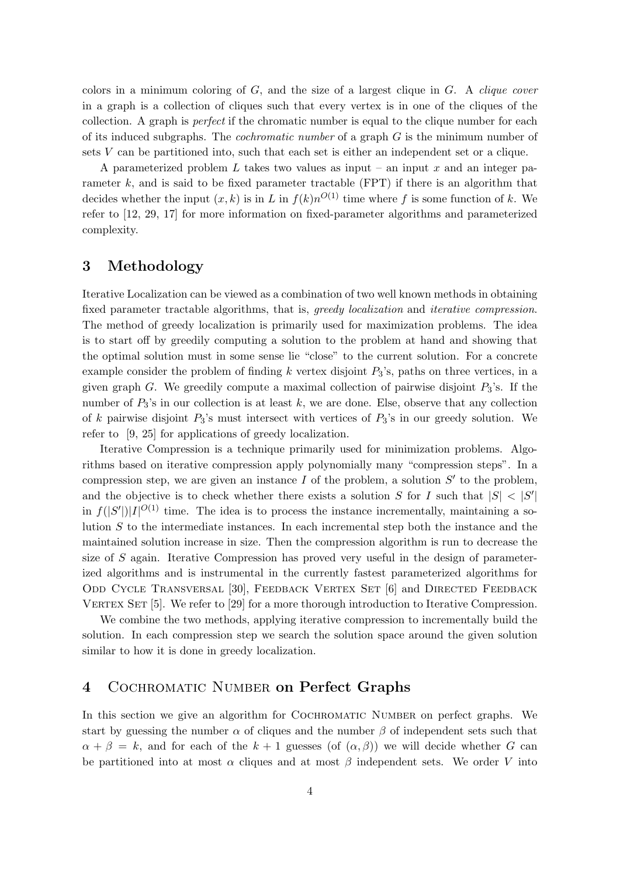colors in a minimum coloring of  $G$ , and the size of a largest clique in  $G$ . A *clique cover* in a graph is a collection of cliques such that every vertex is in one of the cliques of the collection. A graph is perfect if the chromatic number is equal to the clique number for each of its induced subgraphs. The cochromatic number of a graph G is the minimum number of sets  $V$  can be partitioned into, such that each set is either an independent set or a clique.

A parameterized problem L takes two values as input – an input  $x$  and an integer parameter  $k$ , and is said to be fixed parameter tractable (FPT) if there is an algorithm that decides whether the input  $(x, k)$  is in L in  $f(k)n^{O(1)}$  time where f is some function of k. We refer to [12, 29, 17] for more information on fixed-parameter algorithms and parameterized complexity.

### 3 Methodology

Iterative Localization can be viewed as a combination of two well known methods in obtaining fixed parameter tractable algorithms, that is, greedy localization and iterative compression. The method of greedy localization is primarily used for maximization problems. The idea is to start off by greedily computing a solution to the problem at hand and showing that the optimal solution must in some sense lie "close" to the current solution. For a concrete example consider the problem of finding k vertex disjoint  $P_3$ 's, paths on three vertices, in a given graph G. We greedily compute a maximal collection of pairwise disjoint  $P_3$ 's. If the number of  $P_3$ 's in our collection is at least k, we are done. Else, observe that any collection of k pairwise disjoint  $P_3$ 's must intersect with vertices of  $P_3$ 's in our greedy solution. We refer to [9, 25] for applications of greedy localization.

Iterative Compression is a technique primarily used for minimization problems. Algorithms based on iterative compression apply polynomially many "compression steps". In a compression step, we are given an instance  $I$  of the problem, a solution  $S'$  to the problem, and the objective is to check whether there exists a solution S for I such that  $|S| < |S'|$ in  $f(|S'|)|I|^{O(1)}$  time. The idea is to process the instance incrementally, maintaining a solution  $S$  to the intermediate instances. In each incremental step both the instance and the maintained solution increase in size. Then the compression algorithm is run to decrease the size of S again. Iterative Compression has proved very useful in the design of parameterized algorithms and is instrumental in the currently fastest parameterized algorithms for Odd Cycle Transversal [30], Feedback Vertex Set [6] and Directed Feedback VERTEX SET  $[5]$ . We refer to  $[29]$  for a more thorough introduction to Iterative Compression.

We combine the two methods, applying iterative compression to incrementally build the solution. In each compression step we search the solution space around the given solution similar to how it is done in greedy localization.

### 4 Cochromatic Number on Perfect Graphs

In this section we give an algorithm for COCHROMATIC NUMBER on perfect graphs. We start by guessing the number  $\alpha$  of cliques and the number  $\beta$  of independent sets such that  $\alpha + \beta = k$ , and for each of the  $k + 1$  guesses (of  $(\alpha, \beta)$ ) we will decide whether G can be partitioned into at most  $\alpha$  cliques and at most  $\beta$  independent sets. We order V into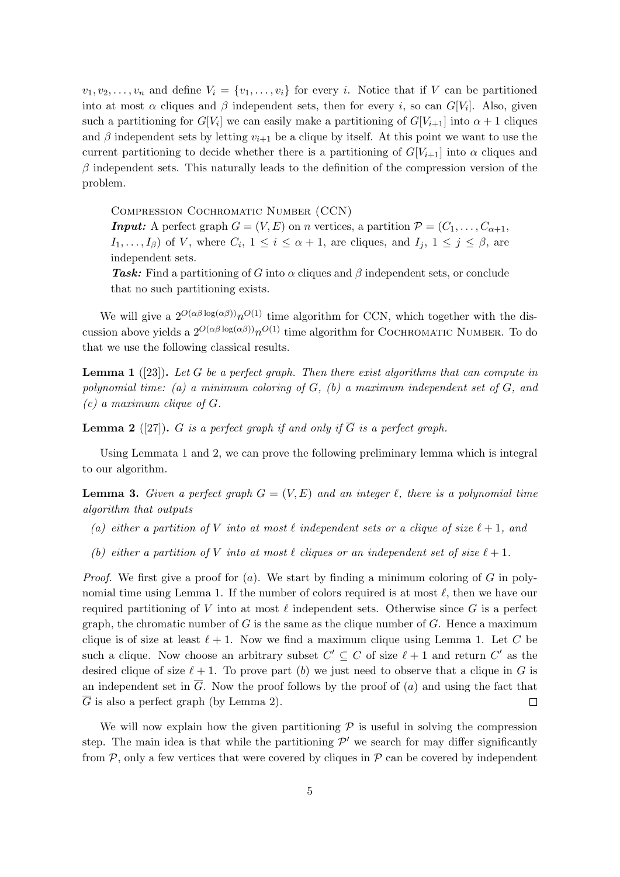$v_1, v_2, \ldots, v_n$  and define  $V_i = \{v_1, \ldots, v_i\}$  for every i. Notice that if V can be partitioned into at most  $\alpha$  cliques and  $\beta$  independent sets, then for every i, so can  $G[V_i]$ . Also, given such a partitioning for  $G[V_i]$  we can easily make a partitioning of  $G[V_{i+1}]$  into  $\alpha + 1$  cliques and  $\beta$  independent sets by letting  $v_{i+1}$  be a clique by itself. At this point we want to use the current partitioning to decide whether there is a partitioning of  $G[V_{i+1}]$  into  $\alpha$  cliques and  $\beta$  independent sets. This naturally leads to the definition of the compression version of the problem.

Compression Cochromatic Number (CCN)

**Input:** A perfect graph  $G = (V, E)$  on n vertices, a partition  $\mathcal{P} = (C_1, \ldots, C_{\alpha+1},$  $I_1, \ldots, I_\beta$  of V, where  $C_i$ ,  $1 \leq i \leq \alpha + 1$ , are cliques, and  $I_j$ ,  $1 \leq j \leq \beta$ , are independent sets.

Task: Find a partitioning of G into  $\alpha$  cliques and  $\beta$  independent sets, or conclude that no such partitioning exists.

We will give a  $2^{O(\alpha\beta\log(\alpha\beta))}n^{O(1)}$  time algorithm for CCN, which together with the discussion above yields a  $2^{O(\alpha\beta\log(\alpha\beta))}n^{O(1)}$  time algorithm for COCHROMATIC NUMBER. To do that we use the following classical results.

**Lemma 1** ([23]). Let G be a perfect graph. Then there exist algorithms that can compute in polynomial time: (a) a minimum coloring of  $G$ , (b) a maximum independent set of  $G$ , and  $(c)$  a maximum clique of  $G$ .

**Lemma 2** ([27]). G is a perfect graph if and only if  $\overline{G}$  is a perfect graph.

Using Lemmata 1 and 2, we can prove the following preliminary lemma which is integral to our algorithm.

**Lemma 3.** Given a perfect graph  $G = (V, E)$  and an integer  $\ell$ , there is a polynomial time algorithm that outputs

- (a) either a partition of V into at most  $\ell$  independent sets or a clique of size  $\ell + 1$ , and
- (b) either a partition of V into at most  $\ell$  cliques or an independent set of size  $\ell + 1$ .

*Proof.* We first give a proof for  $(a)$ . We start by finding a minimum coloring of G in polynomial time using Lemma 1. If the number of colors required is at most  $\ell$ , then we have our required partitioning of V into at most  $\ell$  independent sets. Otherwise since G is a perfect graph, the chromatic number of  $G$  is the same as the clique number of  $G$ . Hence a maximum clique is of size at least  $\ell + 1$ . Now we find a maximum clique using Lemma 1. Let C be such a clique. Now choose an arbitrary subset  $C' \subseteq C$  of size  $\ell + 1$  and return  $C'$  as the desired clique of size  $\ell + 1$ . To prove part (b) we just need to observe that a clique in G is an independent set in  $\overline{G}$ . Now the proof follows by the proof of (a) and using the fact that  $\overline{G}$  is also a perfect graph (by Lemma 2).  $\Box$ 

We will now explain how the given partitioning  $P$  is useful in solving the compression step. The main idea is that while the partitioning  $\mathcal{P}'$  we search for may differ significantly from  $P$ , only a few vertices that were covered by cliques in  $P$  can be covered by independent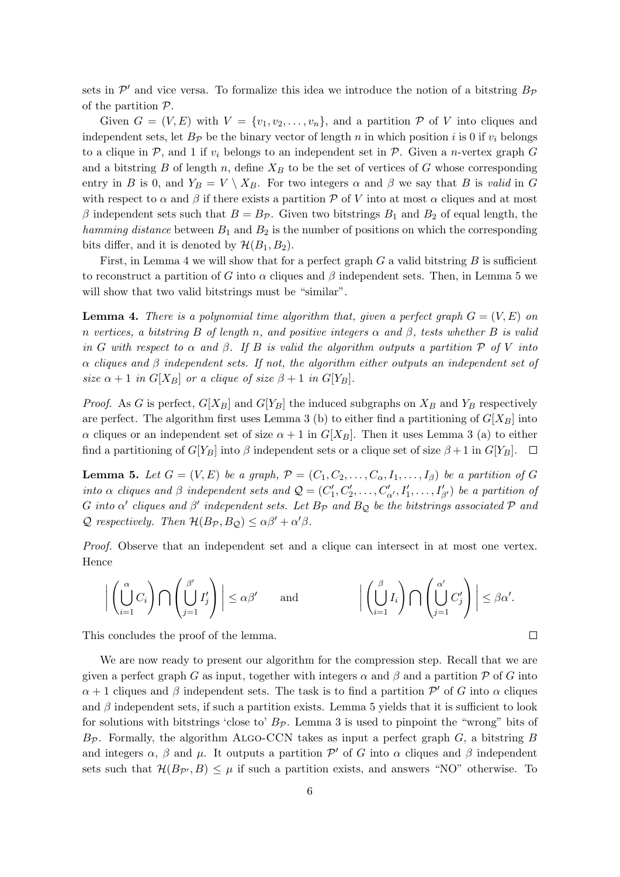sets in  $\mathcal{P}'$  and vice versa. To formalize this idea we introduce the notion of a bitstring  $B_{\mathcal{P}}$ of the partition  $P$ .

Given  $G = (V, E)$  with  $V = \{v_1, v_2, \ldots, v_n\}$ , and a partition  $P$  of V into cliques and independent sets, let  $B_{\mathcal{P}}$  be the binary vector of length n in which position i is 0 if  $v_i$  belongs to a clique in P, and 1 if  $v_i$  belongs to an independent set in P. Given a n-vertex graph G and a bitstring  $B$  of length  $n$ , define  $X_B$  to be the set of vertices of  $G$  whose corresponding entry in B is 0, and  $Y_B = V \setminus X_B$ . For two integers  $\alpha$  and  $\beta$  we say that B is valid in G with respect to  $\alpha$  and  $\beta$  if there exists a partition P of V into at most  $\alpha$  cliques and at most β independent sets such that  $B = B<sub>p</sub>$ . Given two bitstrings  $B<sub>1</sub>$  and  $B<sub>2</sub>$  of equal length, the hamming distance between  $B_1$  and  $B_2$  is the number of positions on which the corresponding bits differ, and it is denoted by  $\mathcal{H}(B_1, B_2)$ .

First, in Lemma 4 we will show that for a perfect graph  $G$  a valid bitstring  $B$  is sufficient to reconstruct a partition of G into  $\alpha$  cliques and  $\beta$  independent sets. Then, in Lemma 5 we will show that two valid bitstrings must be "similar".

**Lemma 4.** There is a polynomial time algorithm that, given a perfect graph  $G = (V, E)$  on n vertices, a bitstring B of length n, and positive integers  $\alpha$  and  $\beta$ , tests whether B is valid in G with respect to  $\alpha$  and  $\beta$ . If B is valid the algorithm outputs a partition P of V into  $\alpha$  cliques and  $\beta$  independent sets. If not, the algorithm either outputs an independent set of size  $\alpha + 1$  in  $G[X_B]$  or a clique of size  $\beta + 1$  in  $G[Y_B]$ .

*Proof.* As G is perfect,  $G[X_B]$  and  $G[Y_B]$  the induced subgraphs on  $X_B$  and  $Y_B$  respectively are perfect. The algorithm first uses Lemma 3 (b) to either find a partitioning of  $G[X_B]$  into α cliques or an independent set of size  $α + 1$  in  $G[X_B]$ . Then it uses Lemma 3 (a) to either find a partitioning of  $G[Y_B]$  into  $\beta$  independent sets or a clique set of size  $\beta + 1$  in  $G[Y_B]$ .  $\Box$ 

**Lemma 5.** Let  $G = (V, E)$  be a graph,  $\mathcal{P} = (C_1, C_2, \ldots, C_\alpha, I_1, \ldots, I_\beta)$  be a partition of G into  $\alpha$  cliques and  $\beta$  independent sets and  $\mathcal{Q} = (C'_1, C'_2, \ldots, C'_{\alpha'}, I'_1, \ldots, I'_{\beta'})$  be a partition of G into  $\alpha'$  cliques and  $\beta'$  independent sets. Let  $B_{\mathcal{P}}$  and  $B_{\mathcal{Q}}$  be the bitstrings associated  $\mathcal P$  and  $\mathcal Q$  respectively. Then  $\mathcal H(B_{\mathcal P}, B_{\mathcal Q}) \leq \alpha \beta' + \alpha' \beta$ .

Proof. Observe that an independent set and a clique can intersect in at most one vertex. Hence

$$
\bigg|\left(\bigcup_{i=1}^{\alpha}C_i\right)\bigcap\left(\bigcup_{j=1}^{\beta'}I'_j\right)\bigg|\leq \alpha\beta'\qquad\text{and}\qquad\qquad\bigg|\left(\bigcup_{i=1}^{\beta}I_i\right)\bigcap\left(\bigcup_{j=1}^{\alpha'}C'_j\right)\bigg|\leq \beta\alpha'.
$$

 $\Box$ 

This concludes the proof of the lemma.

We are now ready to present our algorithm for the compression step. Recall that we are given a perfect graph G as input, together with integers  $\alpha$  and  $\beta$  and a partition P of G into  $\alpha + 1$  cliques and  $\beta$  independent sets. The task is to find a partition  $\mathcal{P}'$  of G into  $\alpha$  cliques and  $\beta$  independent sets, if such a partition exists. Lemma 5 yields that it is sufficient to look for solutions with bitstrings 'close to'  $B_{\mathcal{P}}$ . Lemma 3 is used to pinpoint the "wrong" bits of  $B_{\mathcal{P}}$ . Formally, the algorithm ALGO-CCN takes as input a perfect graph  $G$ , a bitstring  $B$ and integers  $\alpha$ ,  $\beta$  and  $\mu$ . It outputs a partition  $\mathcal{P}'$  of G into  $\alpha$  cliques and  $\beta$  independent sets such that  $\mathcal{H}(B_{\mathcal{P}'},B) \leq \mu$  if such a partition exists, and answers "NO" otherwise. To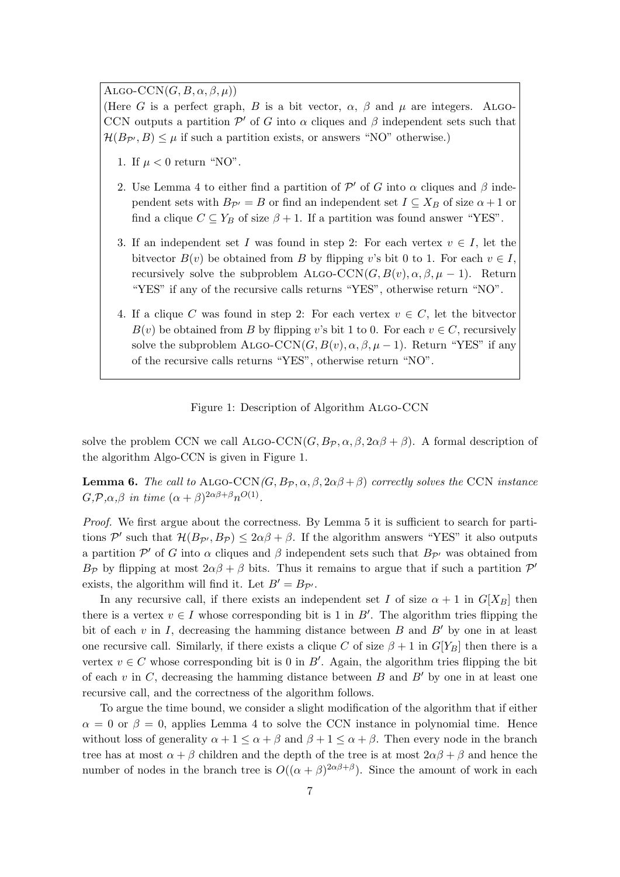ALGO-CCN $(G, B, \alpha, \beta, \mu)$ 

(Here G is a perfect graph, B is a bit vector,  $\alpha$ ,  $\beta$  and  $\mu$  are integers. ALGO-CCN outputs a partition  $\mathcal{P}'$  of G into  $\alpha$  cliques and  $\beta$  independent sets such that  $\mathcal{H}(B_{\mathcal{P}'}, B) \leq \mu$  if such a partition exists, or answers "NO" otherwise.)

- 1. If  $\mu < 0$  return "NO".
- 2. Use Lemma 4 to either find a partition of  $\mathcal{P}'$  of G into  $\alpha$  cliques and  $\beta$  independent sets with  $B_{\mathcal{P}'} = B$  or find an independent set  $I \subseteq X_B$  of size  $\alpha + 1$  or find a clique  $C \subseteq Y_B$  of size  $\beta + 1$ . If a partition was found answer "YES".
- 3. If an independent set I was found in step 2: For each vertex  $v \in I$ , let the bitvector  $B(v)$  be obtained from B by flipping v's bit 0 to 1. For each  $v \in I$ , recursively solve the subproblem ALGO-CCN( $G, B(v), \alpha, \beta, \mu - 1$ ). Return "YES" if any of the recursive calls returns "YES", otherwise return "NO".
- 4. If a clique C was found in step 2: For each vertex  $v \in C$ , let the bitvector  $B(v)$  be obtained from B by flipping v's bit 1 to 0. For each  $v \in C$ , recursively solve the subproblem ALGO-CCN( $G, B(v), \alpha, \beta, \mu - 1$ ). Return "YES" if any of the recursive calls returns "YES", otherwise return "NO".

#### Figure 1: Description of Algorithm Algo-CCN

solve the problem CCN we call ALGO-CCN $(G, B_{\mathcal{P}}, \alpha, \beta, 2\alpha\beta + \beta)$ . A formal description of the algorithm Algo-CCN is given in Figure 1.

**Lemma 6.** The call to ALGO-CCN(G,  $B_{\mathcal{P}}, \alpha, \beta, 2\alpha\beta+\beta$ ) correctly solves the CCN instance  $G,\mathcal{P},\alpha,\beta$  in time  $(\alpha+\beta)^{2\alpha\beta+\beta}n^{O(1)}$ .

Proof. We first argue about the correctness. By Lemma 5 it is sufficient to search for partitions  $\mathcal{P}'$  such that  $\mathcal{H}(B_{\mathcal{P}'},B_{\mathcal{P}}) \leq 2\alpha\beta+\beta$ . If the algorithm answers "YES" it also outputs a partition  $\mathcal{P}'$  of G into  $\alpha$  cliques and  $\beta$  independent sets such that  $B_{\mathcal{P}'}$  was obtained from B<sub>P</sub> by flipping at most  $2\alpha\beta + \beta$  bits. Thus it remains to argue that if such a partition  $\mathcal{P}'$ exists, the algorithm will find it. Let  $B' = B_{\mathcal{P}}$ .

In any recursive call, if there exists an independent set I of size  $\alpha + 1$  in  $G[X_B]$  then there is a vertex  $v \in I$  whose corresponding bit is 1 in B'. The algorithm tries flipping the bit of each v in I, decreasing the hamming distance between B and  $B'$  by one in at least one recursive call. Similarly, if there exists a clique C of size  $\beta + 1$  in  $G[Y_B]$  then there is a vertex  $v \in C$  whose corresponding bit is 0 in B'. Again, the algorithm tries flipping the bit of each v in C, decreasing the hamming distance between B and B' by one in at least one recursive call, and the correctness of the algorithm follows.

To argue the time bound, we consider a slight modification of the algorithm that if either  $\alpha = 0$  or  $\beta = 0$ , applies Lemma 4 to solve the CCN instance in polynomial time. Hence without loss of generality  $\alpha + 1 \leq \alpha + \beta$  and  $\beta + 1 \leq \alpha + \beta$ . Then every node in the branch tree has at most  $\alpha + \beta$  children and the depth of the tree is at most  $2\alpha\beta + \beta$  and hence the number of nodes in the branch tree is  $O((\alpha + \beta)^{2\alpha\beta+\beta})$ . Since the amount of work in each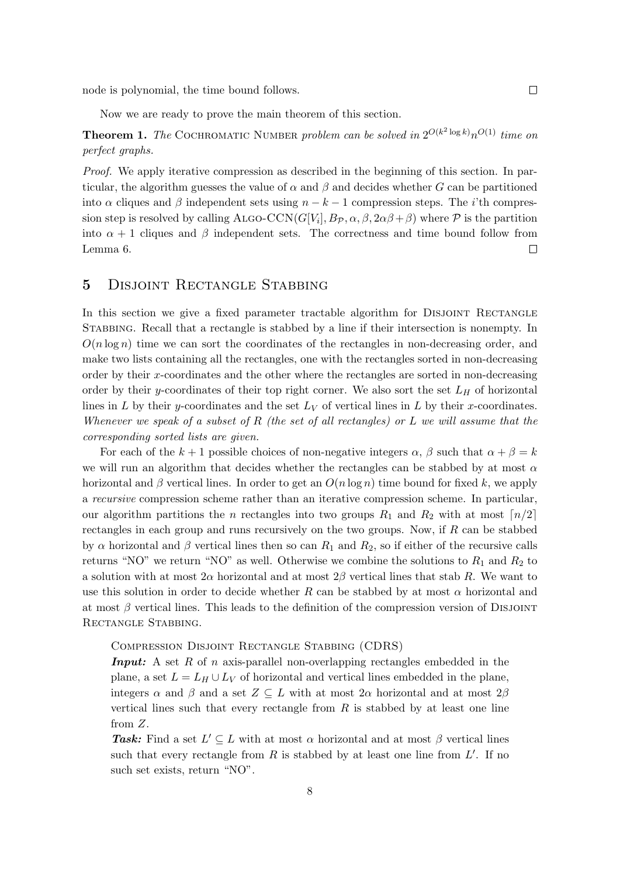node is polynomial, the time bound follows.

Now we are ready to prove the main theorem of this section.

**Theorem 1.** The COCHROMATIC NUMBER problem can be solved in  $2^{O(k^2 \log k)} n^{O(1)}$  time on perfect graphs.

Proof. We apply iterative compression as described in the beginning of this section. In particular, the algorithm guesses the value of  $\alpha$  and  $\beta$  and decides whether G can be partitioned into  $\alpha$  cliques and  $\beta$  independent sets using  $n - k - 1$  compression steps. The *i*'th compression step is resolved by calling ALGO-CCN( $G[V_i], B_{\mathcal{P}}, \alpha, \beta, 2\alpha\beta+\beta$ ) where  $\mathcal P$  is the partition into  $\alpha + 1$  cliques and  $\beta$  independent sets. The correctness and time bound follow from Lemma 6.  $\Box$ 

# 5 Disjoint Rectangle Stabbing

In this section we give a fixed parameter tractable algorithm for DISJOINT RECTANGLE Stabbing. Recall that a rectangle is stabbed by a line if their intersection is nonempty. In  $O(n \log n)$  time we can sort the coordinates of the rectangles in non-decreasing order, and make two lists containing all the rectangles, one with the rectangles sorted in non-decreasing order by their x-coordinates and the other where the rectangles are sorted in non-decreasing order by their y-coordinates of their top right corner. We also sort the set  $L_H$  of horizontal lines in L by their y-coordinates and the set  $L_V$  of vertical lines in L by their x-coordinates. Whenever we speak of a subset of R (the set of all rectangles) or L we will assume that the corresponding sorted lists are given.

For each of the  $k+1$  possible choices of non-negative integers  $\alpha$ ,  $\beta$  such that  $\alpha + \beta = k$ we will run an algorithm that decides whether the rectangles can be stabbed by at most  $\alpha$ horizontal and β vertical lines. In order to get an  $O(n \log n)$  time bound for fixed k, we apply a recursive compression scheme rather than an iterative compression scheme. In particular, our algorithm partitions the *n* rectangles into two groups  $R_1$  and  $R_2$  with at most  $\lfloor n/2 \rfloor$ rectangles in each group and runs recursively on the two groups. Now, if  $R$  can be stabbed by  $\alpha$  horizontal and  $\beta$  vertical lines then so can  $R_1$  and  $R_2$ , so if either of the recursive calls returns "NO" we return "NO" as well. Otherwise we combine the solutions to  $R_1$  and  $R_2$  to a solution with at most  $2\alpha$  horizontal and at most  $2\beta$  vertical lines that stab R. We want to use this solution in order to decide whether R can be stabbed by at most  $\alpha$  horizontal and at most  $\beta$  vertical lines. This leads to the definition of the compression version of DISJOINT RECTANGLE STABBING.

Compression Disjoint Rectangle Stabbing (CDRS)

**Input:** A set  $R$  of  $n$  axis-parallel non-overlapping rectangles embedded in the plane, a set  $L = L_H \cup L_V$  of horizontal and vertical lines embedded in the plane, integers  $\alpha$  and  $\beta$  and a set  $Z \subseteq L$  with at most  $2\alpha$  horizontal and at most  $2\beta$ vertical lines such that every rectangle from  $R$  is stabbed by at least one line from Z.

**Task:** Find a set  $L' \subseteq L$  with at most  $\alpha$  horizontal and at most  $\beta$  vertical lines such that every rectangle from  $R$  is stabbed by at least one line from  $L'$ . If no such set exists, return "NO".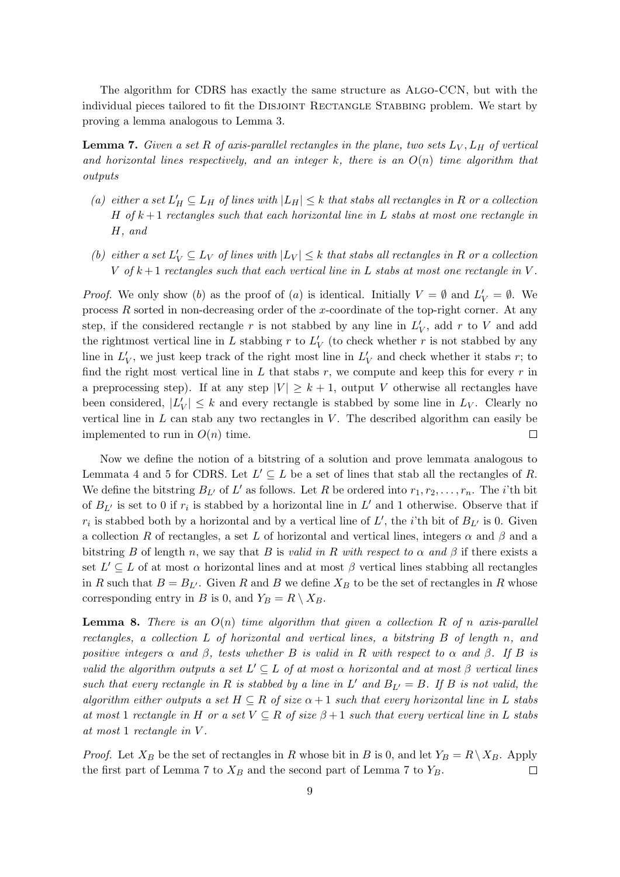The algorithm for CDRS has exactly the same structure as Algo-CCN, but with the individual pieces tailored to fit the DISJOINT RECTANGLE STABBING problem. We start by proving a lemma analogous to Lemma 3.

**Lemma 7.** Given a set R of axis-parallel rectangles in the plane, two sets  $L_V$ ,  $L_H$  of vertical and horizontal lines respectively, and an integer k, there is an  $O(n)$  time algorithm that outputs

- (a) either a set  $L'_H \subseteq L_H$  of lines with  $|L_H| \leq k$  that stabs all rectangles in R or a collection H of  $k+1$  rectangles such that each horizontal line in L stabs at most one rectangle in H, and
- (b) either a set  $L'_V \subseteq L_V$  of lines with  $|L_V| \leq k$  that stabs all rectangles in R or a collection V of  $k+1$  rectangles such that each vertical line in L stabs at most one rectangle in V.

*Proof.* We only show (b) as the proof of (a) is identical. Initially  $V = \emptyset$  and  $L'_V = \emptyset$ . We process  $R$  sorted in non-decreasing order of the x-coordinate of the top-right corner. At any step, if the considered rectangle r is not stabbed by any line in  $L_V'$ , add r to V and add the rightmost vertical line in L stabbing r to  $L'_{V}$  (to check whether r is not stabbed by any line in  $L_V'$ , we just keep track of the right most line in  $L_V'$  and check whether it stabs r; to find the right most vertical line in L that stabs r, we compute and keep this for every r in a preprocessing step). If at any step  $|V| \geq k+1$ , output V otherwise all rectangles have been considered,  $|L'_V| \leq k$  and every rectangle is stabbed by some line in  $L_V$ . Clearly no vertical line in  $L$  can stab any two rectangles in  $V$ . The described algorithm can easily be implemented to run in  $O(n)$  time.  $\Box$ 

Now we define the notion of a bitstring of a solution and prove lemmata analogous to Lemmata 4 and 5 for CDRS. Let  $L' \subseteq L$  be a set of lines that stab all the rectangles of R. We define the bitstring  $B_{L'}$  of L' as follows. Let R be ordered into  $r_1, r_2, \ldots, r_n$ . The *i*'th bit of  $B_{L'}$  is set to 0 if  $r_i$  is stabbed by a horizontal line in  $L'$  and 1 otherwise. Observe that if  $r_i$  is stabbed both by a horizontal and by a vertical line of L', the *i*'th bit of  $B_{L'}$  is 0. Given a collection R of rectangles, a set L of horizontal and vertical lines, integers  $\alpha$  and  $\beta$  and a bitstring B of length n, we say that B is valid in R with respect to  $\alpha$  and  $\beta$  if there exists a set  $L' \subseteq L$  of at most  $\alpha$  horizontal lines and at most  $\beta$  vertical lines stabbing all rectangles in R such that  $B = B_{L'}$ . Given R and B we define  $X_B$  to be the set of rectangles in R whose corresponding entry in B is 0, and  $Y_B = R \setminus X_B$ .

**Lemma 8.** There is an  $O(n)$  time algorithm that given a collection R of n axis-parallel rectangles, a collection L of horizontal and vertical lines, a bitstring B of length n, and positive integers  $\alpha$  and  $\beta$ , tests whether B is valid in R with respect to  $\alpha$  and  $\beta$ . If B is valid the algorithm outputs a set  $L' \subseteq L$  of at most  $\alpha$  horizontal and at most  $\beta$  vertical lines such that every rectangle in R is stabbed by a line in L' and  $B_{L'} = B$ . If B is not valid, the algorithm either outputs a set  $H \subseteq R$  of size  $\alpha + 1$  such that every horizontal line in L stabs at most 1 rectangle in H or a set  $V \subseteq R$  of size  $\beta+1$  such that every vertical line in L stabs at most 1 rectangle in V .

*Proof.* Let  $X_B$  be the set of rectangles in R whose bit in B is 0, and let  $Y_B = R \setminus X_B$ . Apply the first part of Lemma 7 to  $X_B$  and the second part of Lemma 7 to  $Y_B$ .  $\Box$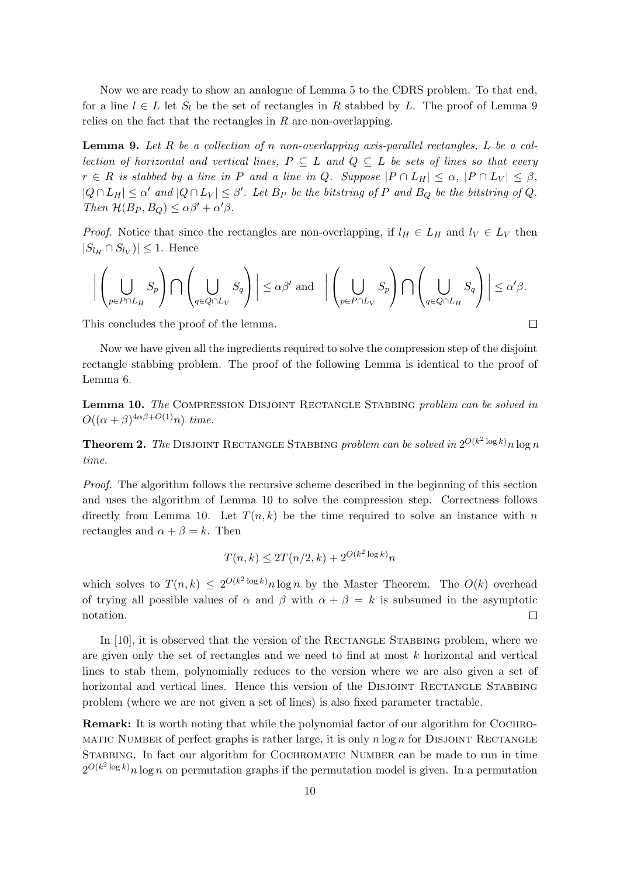Now we are ready to show an analogue of Lemma 5 to the CDRS problem. To that end, for a line  $l \in L$  let  $S_l$  be the set of rectangles in R stabbed by L. The proof of Lemma 9 relies on the fact that the rectangles in  $R$  are non-overlapping.

**Lemma 9.** Let R be a collection of n non-overlapping axis-parallel rectangles, L be a collection of horizontal and vertical lines,  $P \subseteq L$  and  $Q \subseteq L$  be sets of lines so that every  $r \in R$  is stabbed by a line in P and a line in Q. Suppose  $|P \cap L_H| \leq \alpha$ ,  $|P \cap L_V| \leq \beta$ ,  $|Q \cap L_H| \leq \alpha'$  and  $|Q \cap L_V| \leq \beta'$ . Let  $B_P$  be the bitstring of P and  $B_Q$  be the bitstring of Q. Then  $\mathcal{H}(B_P, B_Q) \leq \alpha \beta' + \alpha' \beta$ .

*Proof.* Notice that since the rectangles are non-overlapping, if  $l_H \in L_H$  and  $l_V \in L_V$  then  $|S_{l_H} \cap S_{l_V})| \leq 1$ . Hence

$$
\bigg|\left(\bigcup_{p\in P\cap L_H}S_p\right)\bigcap\left(\bigcup_{q\in Q\cap L_V}S_q\right)\bigg|\leq \alpha\beta'\text{ and }\quad\bigg|\left(\bigcup_{p\in P\cap L_V}S_p\right)\bigcap\left(\bigcup_{q\in Q\cap L_H}S_q\right)\bigg|\leq \alpha'\beta.
$$

 $\Box$ 

This concludes the proof of the lemma.

Now we have given all the ingredients required to solve the compression step of the disjoint rectangle stabbing problem. The proof of the following Lemma is identical to the proof of Lemma 6.

Lemma 10. The COMPRESSION DISJOINT RECTANGLE STABBING problem can be solved in  $O((\alpha + \beta)^{4\alpha\beta + O(1)}n)$  time.

**Theorem 2.** The DISJOINT RECTANGLE STABBING problem can be solved in  $2^{O(k^2\log k)}n\log n$ time.

Proof. The algorithm follows the recursive scheme described in the beginning of this section and uses the algorithm of Lemma 10 to solve the compression step. Correctness follows directly from Lemma 10. Let  $T(n, k)$  be the time required to solve an instance with n rectangles and  $\alpha + \beta = k$ . Then

$$
T(n,k) \le 2T(n/2,k) + 2^{O(k^2 \log k)} n
$$

which solves to  $T(n,k) \leq 2^{O(k^2 \log k)} n \log n$  by the Master Theorem. The  $O(k)$  overhead of trying all possible values of  $\alpha$  and  $\beta$  with  $\alpha + \beta = k$  is subsumed in the asymptotic notation.  $\Box$ 

In  $[10]$ , it is observed that the version of the RECTANGLE STABBING problem, where we are given only the set of rectangles and we need to find at most  $k$  horizontal and vertical lines to stab them, polynomially reduces to the version where we are also given a set of horizontal and vertical lines. Hence this version of the DISJOINT RECTANGLE STABBING problem (where we are not given a set of lines) is also fixed parameter tractable.

**Remark:** It is worth noting that while the polynomial factor of our algorithm for COCHRO-MATIC NUMBER of perfect graphs is rather large, it is only  $n \log n$  for DISJOINT RECTANGLE Stabbing. In fact our algorithm for Cochromatic Number can be made to run in time  $2^{O(k^2 \log k)} n \log n$  on permutation graphs if the permutation model is given. In a permutation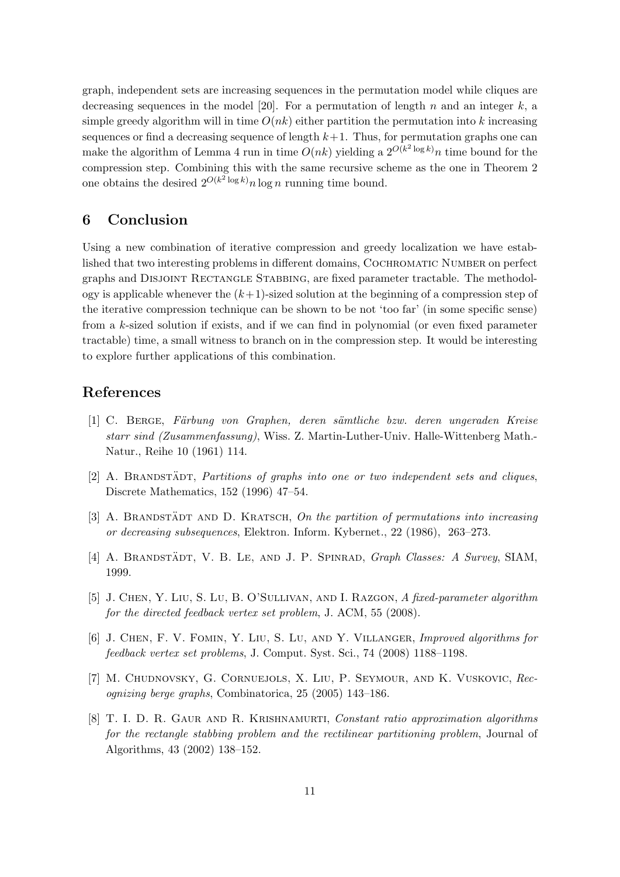graph, independent sets are increasing sequences in the permutation model while cliques are decreasing sequences in the model [20]. For a permutation of length n and an integer  $k$ , a simple greedy algorithm will in time  $O(nk)$  either partition the permutation into k increasing sequences or find a decreasing sequence of length  $k+1$ . Thus, for permutation graphs one can make the algorithm of Lemma 4 run in time  $O(nk)$  yielding a  $2^{O(k^2 \log k)n}$  time bound for the compression step. Combining this with the same recursive scheme as the one in Theorem 2 one obtains the desired  $2^{O(k^2 \log k)} n \log n$  running time bound.

### 6 Conclusion

Using a new combination of iterative compression and greedy localization we have established that two interesting problems in different domains, COCHROMATIC NUMBER on perfect graphs and Disjoint Rectangle Stabbing, are fixed parameter tractable. The methodology is applicable whenever the  $(k+1)$ -sized solution at the beginning of a compression step of the iterative compression technique can be shown to be not 'too far' (in some specific sense) from a k-sized solution if exists, and if we can find in polynomial (or even fixed parameter tractable) time, a small witness to branch on in the compression step. It would be interesting to explore further applications of this combination.

#### References

- [1] C. BERGE, Färbung von Graphen, deren sämtliche bzw. deren ungeraden Kreise starr sind (Zusammenfassung), Wiss. Z. Martin-Luther-Univ. Halle-Wittenberg Math.- Natur., Reihe 10 (1961) 114.
- $[2]$  A. BRANDSTADT, Partitions of graphs into one or two independent sets and cliques, Discrete Mathematics, 152 (1996) 47–54.
- [3] A. BRANDSTADT AND D. KRATSCH, On the partition of permutations into increasing or decreasing subsequences, Elektron. Inform. Kybernet., 22 (1986), 263–273.
- [4] A. BRANDSTÄDT, V. B. LE, AND J. P. SPINRAD,  $Graph Classes: A Survey, SIAM,$ 1999.
- [5] J. Chen, Y. Liu, S. Lu, B. O'Sullivan, and I. Razgon, A fixed-parameter algorithm for the directed feedback vertex set problem, J. ACM, 55 (2008).
- [6] J. Chen, F. V. Fomin, Y. Liu, S. Lu, and Y. Villanger, Improved algorithms for feedback vertex set problems, J. Comput. Syst. Sci., 74 (2008) 1188–1198.
- [7] M. Chudnovsky, G. Cornuejols, X. Liu, P. Seymour, and K. Vuskovic, Recognizing berge graphs, Combinatorica, 25 (2005) 143–186.
- [8] T. I. D. R. Gaur and R. Krishnamurti, Constant ratio approximation algorithms for the rectangle stabbing problem and the rectilinear partitioning problem, Journal of Algorithms, 43 (2002) 138–152.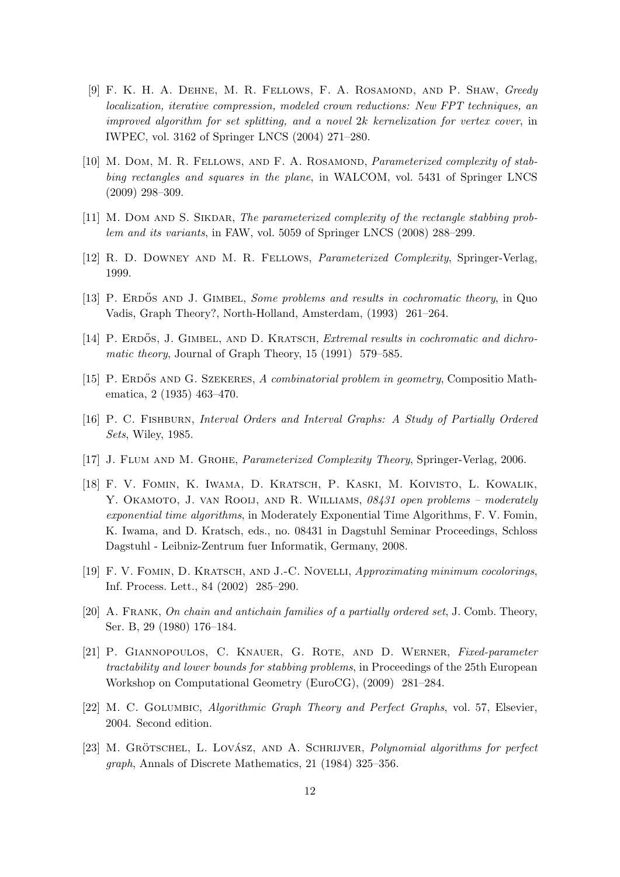- [9] F. K. H. A. Dehne, M. R. Fellows, F. A. Rosamond, and P. Shaw, Greedy localization, iterative compression, modeled crown reductions: New FPT techniques, an improved algorithm for set splitting, and a novel 2k kernelization for vertex cover, in IWPEC, vol. 3162 of Springer LNCS (2004) 271–280.
- [10] M. Dom, M. R. FELLOWS, AND F. A. ROSAMOND, *Parameterized complexity of stab*bing rectangles and squares in the plane, in WALCOM, vol. 5431 of Springer LNCS (2009) 298–309.
- [11] M. DOM AND S. SIKDAR, The parameterized complexity of the rectangle stabbing problem and its variants, in FAW, vol. 5059 of Springer LNCS (2008) 288–299.
- [12] R. D. Downey and M. R. Fellows, Parameterized Complexity, Springer-Verlag, 1999.
- [13] P. ERDÓS AND J. GIMBEL, Some problems and results in cochromatic theory, in Quo Vadis, Graph Theory?, North-Holland, Amsterdam, (1993) 261–264.
- [14] P. ERDOS, J. GIMBEL, AND D. KRATSCH, *Extremal results in cochromatic and dichro*matic theory, Journal of Graph Theory, 15 (1991) 579–585.
- [15] P. ERDOS AND G. SZEKERES, A combinatorial problem in geometry, Compositio Mathematica, 2 (1935) 463–470.
- [16] P. C. Fishburn, Interval Orders and Interval Graphs: A Study of Partially Ordered Sets, Wiley, 1985.
- [17] J. Flum and M. Grohe, Parameterized Complexity Theory, Springer-Verlag, 2006.
- [18] F. V. Fomin, K. Iwama, D. Kratsch, P. Kaski, M. Koivisto, L. Kowalik, Y. OKAMOTO, J. VAN ROOIJ, AND R. WILLIAMS, 08431 open problems – moderately exponential time algorithms, in Moderately Exponential Time Algorithms, F. V. Fomin, K. Iwama, and D. Kratsch, eds., no. 08431 in Dagstuhl Seminar Proceedings, Schloss Dagstuhl - Leibniz-Zentrum fuer Informatik, Germany, 2008.
- [19] F. V. Fomin, D. Kratsch, and J.-C. Novelli, Approximating minimum cocolorings, Inf. Process. Lett., 84 (2002) 285–290.
- [20] A. Frank, On chain and antichain families of a partially ordered set, J. Comb. Theory, Ser. B, 29 (1980) 176–184.
- [21] P. Giannopoulos, C. Knauer, G. Rote, and D. Werner, Fixed-parameter tractability and lower bounds for stabbing problems, in Proceedings of the 25th European Workshop on Computational Geometry (EuroCG), (2009) 281–284.
- [22] M. C. Golumbic, Algorithmic Graph Theory and Perfect Graphs, vol. 57, Elsevier, 2004. Second edition.
- [23] M. GRÖTSCHEL, L. LOVÁSZ, AND A. SCHRIJVER, Polynomial algorithms for perfect graph, Annals of Discrete Mathematics, 21 (1984) 325–356.